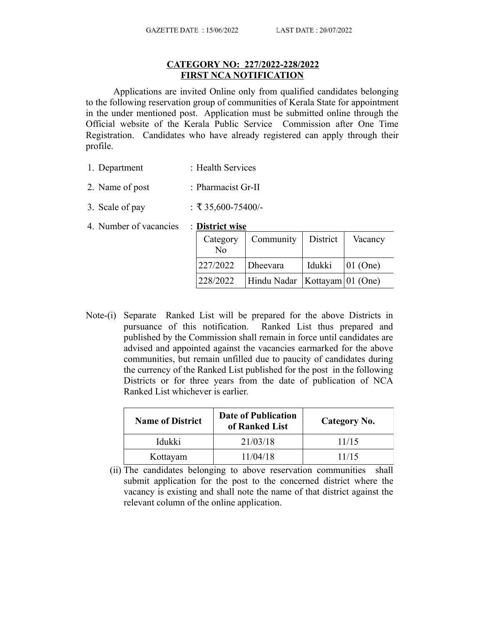## **CATEGORY NO: 227/2022-228/2022 FIRST NCA NOTIFICATION**

Applications are invited Online only from qualified candidates belonging to the following reservation group of communities of Kerala State for appointment in the under mentioned post. Application must be submitted online through the Official website of the Kerala Public Service Commission after One Time Registration. Candidates who have already registered can apply through their profile.

- 1. Department : Health Services
- 2. Name of post : Pharmacist Gr-II
- 3. Scale of pay : ₹ 35,600-75400/-
- 4. Number of vacancies : **District wise**

**Category** No Community District Vacancy 227/2022 | Dheevara | Idukki | 01 (One)  $228/2022$  | Hindu Nadar | Kottayam | 01 (One)

Note-(i) Separate Ranked List will be prepared for the above Districts in pursuance of this notification. Ranked List thus prepared and published by the Commission shall remain in force until candidates are advised and appointed against the vacancies earmarked for the above communities, but remain unfilled due to paucity of candidates during the currency of the Ranked List published for the post in the following Districts or for three years from the date of publication of NCA Ranked List whichever is earlier.

| <b>Name of District</b> | <b>Date of Publication</b><br>of Ranked List | Category No. |
|-------------------------|----------------------------------------------|--------------|
| Idukki                  | 21/03/18                                     | 11/15        |
| Kottayam                | 11/04/18                                     | 11/15        |

(ii) The candidates belonging to above reservation communities shall submit application for the post to the concerned district where the vacancy is existing and shall note the name of that district against the relevant column of the online application.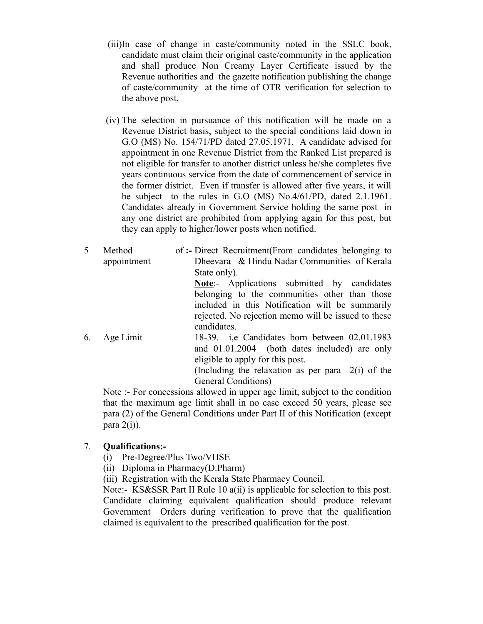- (iii)In case of change in caste/community noted in the SSLC book, candidate must claim their original caste/community in the application and shall produce Non Creamy Layer Certificate issued by the Revenue authorities and the gazette notification publishing the change of caste/community at the time of OTR verification for selection to the above post.
- (iv) The selection in pursuance of this notification will be made on a Revenue District basis, subject to the special conditions laid down in G.O (MS) No. 154/71/PD dated 27.05.1971. A candidate advised for appointment in one Revenue District from the Ranked List prepared is not eligible for transfer to another district unless he/she completes five years continuous service from the date of commencement of service in the former district. Even if transfer is allowed after five years, it will be subject to the rules in G.O (MS) No.4/61/PD, dated 2.1.1961. Candidates already in Government Service holding the same post in any one district are prohibited from applying again for this post, but they can apply to higher/lower posts when notified.
- 5 Method appointment  **:-** Direct Recruitment(From candidates belonging to Dheevara & Hindu Nadar Communities of Kerala State only). **Note**:- Applications submitted by candidates belonging to the communities other than those included in this Notification will be summarily rejected. No rejection memo will be issued to these candidates.
- 6. Age Limit 18-39. i,e Candidates born between 02.01.1983 and 01.01.2004 (both dates included) are only eligible to apply for this post. (Including the relaxation as per para 2(i) of the General Conditions)

Note :- For concessions allowed in upper age limit, subject to the condition that the maximum age limit shall in no case exceed 50 years, please see para (2) of the General Conditions under Part II of this Notification (except para  $2(i)$ ).

## 7. **Qualifications:-**

- (i) Pre-Degree/Plus Two/VHSE
- (ii) Diploma in Pharmacy(D.Pharm)
- (iii) Registration with the Kerala State Pharmacy Council.

Note:- KS&SSR Part II Rule 10 a(ii) is applicable for selection to this post. Candidate claiming equivalent qualification should produce relevant Government Orders during verification to prove that the qualification claimed is equivalent to the prescribed qualification for the post.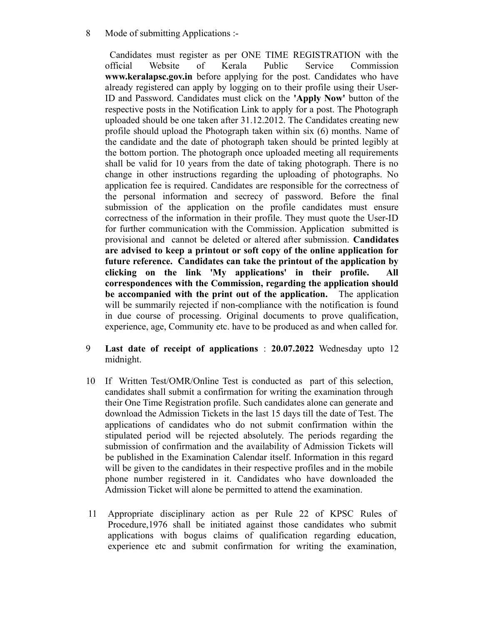8 Mode of submitting Applications :-

Candidates must register as per ONE TIME REGISTRATION with the official Website of Kerala Public Service Commission **www.keralapsc.gov.in** before applying for the post. Candidates who have already registered can apply by logging on to their profile using their User-ID and Password. Candidates must click on the **'Apply Now'** button of the respective posts in the Notification Link to apply for a post. The Photograph uploaded should be one taken after 31.12.2012. The Candidates creating new profile should upload the Photograph taken within six (6) months. Name of the candidate and the date of photograph taken should be printed legibly at the bottom portion. The photograph once uploaded meeting all requirements shall be valid for 10 years from the date of taking photograph. There is no change in other instructions regarding the uploading of photographs. No application fee is required. Candidates are responsible for the correctness of the personal information and secrecy of password. Before the final submission of the application on the profile candidates must ensure correctness of the information in their profile. They must quote the User-ID for further communication with the Commission. Application submitted is provisional and cannot be deleted or altered after submission. **Candidates are advised to keep a printout or soft copy of the online application for future reference. Candidates can take the printout of the application by clicking on the link 'My applications' in their profile. All correspondences with the Commission, regarding the application should be accompanied with the print out of the application.** The application will be summarily rejected if non-compliance with the notification is found in due course of processing. Original documents to prove qualification, experience, age, Community etc. have to be produced as and when called for.

- 9 **Last date of receipt of applications** : **20.07.2022** Wednesday upto 12 midnight.
- 10 If Written Test/OMR/Online Test is conducted as part of this selection, candidates shall submit a confirmation for writing the examination through their One Time Registration profile. Such candidates alone can generate and download the Admission Tickets in the last 15 days till the date of Test. The applications of candidates who do not submit confirmation within the stipulated period will be rejected absolutely. The periods regarding the submission of confirmation and the availability of Admission Tickets will be published in the Examination Calendar itself. Information in this regard will be given to the candidates in their respective profiles and in the mobile phone number registered in it. Candidates who have downloaded the Admission Ticket will alone be permitted to attend the examination.
- 11 Appropriate disciplinary action as per Rule 22 of KPSC Rules of Procedure,1976 shall be initiated against those candidates who submit applications with bogus claims of qualification regarding education, experience etc and submit confirmation for writing the examination,